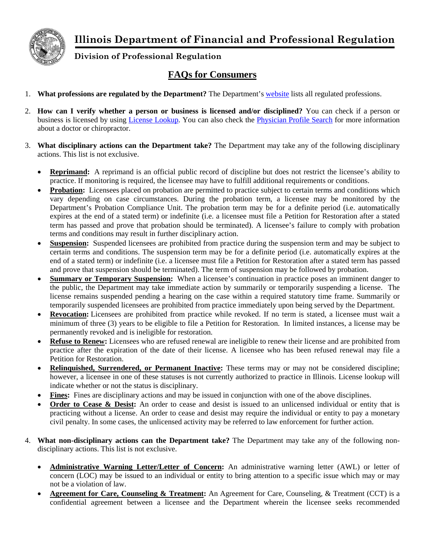

**Illinois Department of Financial and Professional Regulation**

**Division of Professional Regulation**

## **FAQs for Consumers**

- 1. **What professions are regulated by the Department?** The Department's [website](http://www.idfpr.com/profs/proflist.asp) lists all regulated professions.
- 2. **How can I verify whether a person or business is licensed and/or disciplined?** You can check if a person or business is licensed by using [License Lookup.](https://ilesonline.idfpr.illinois.gov/DPR/Lookup/LicenseLookup.aspx) You can also check the [Physician Profile Search](https://www.idfpr.com/applications/professionprofile/default.aspx) for more information about a doctor or chiropractor.
- 3. **What disciplinary actions can the Department take?** The Department may take any of the following disciplinary actions. This list is not exclusive.
	- **Reprimand:** A reprimand is an official public record of discipline but does not restrict the licensee's ability to practice. If monitoring is required, the licensee may have to fulfill additional requirements or conditions.
	- **Probation:** Licensees placed on probation are permitted to practice subject to certain terms and conditions which vary depending on case circumstances. During the probation term, a licensee may be monitored by the Department's Probation Compliance Unit. The probation term may be for a definite period (i.e. automatically expires at the end of a stated term) or indefinite (i.e. a licensee must file a Petition for Restoration after a stated term has passed and prove that probation should be terminated). A licensee's failure to comply with probation terms and conditions may result in further disciplinary action.
	- **Suspension:** Suspended licensees are prohibited from practice during the suspension term and may be subject to certain terms and conditions. The suspension term may be for a definite period (i.e. automatically expires at the end of a stated term) or indefinite (i.e. a licensee must file a Petition for Restoration after a stated term has passed and prove that suspension should be terminated). The term of suspension may be followed by probation.
	- **Summary or Temporary Suspension:** When a licensee's continuation in practice poses an imminent danger to the public, the Department may take immediate action by summarily or temporarily suspending a license. The license remains suspended pending a hearing on the case within a required statutory time frame. Summarily or temporarily suspended licensees are prohibited from practice immediately upon being served by the Department.
	- **Revocation:** Licensees are prohibited from practice while revoked. If no term is stated, a licensee must wait a minimum of three (3) years to be eligible to file a Petition for Restoration. In limited instances, a license may be permanently revoked and is ineligible for restoration.
	- **Refuse to Renew:** Licensees who are refused renewal are ineligible to renew their license and are prohibited from practice after the expiration of the date of their license. A licensee who has been refused renewal may file a Petition for Restoration.
	- **Relinquished, Surrendered, or Permanent Inactive:** These terms may or may not be considered discipline; however, a licensee in one of these statuses is not currently authorized to practice in Illinois. License lookup will indicate whether or not the status is disciplinary.
	- **Fines:** Fines are disciplinary actions and may be issued in conjunction with one of the above disciplines.
	- **Order to Cease & Desist:** An order to cease and desist is issued to an unlicensed individual or entity that is practicing without a license. An order to cease and desist may require the individual or entity to pay a monetary civil penalty. In some cases, the unlicensed activity may be referred to law enforcement for further action.
- 4. **What non-disciplinary actions can the Department take?** The Department may take any of the following nondisciplinary actions. This list is not exclusive.
	- **Administrative Warning Letter/Letter of Concern:** An administrative warning letter (AWL) or letter of concern (LOC) may be issued to an individual or entity to bring attention to a specific issue which may or may not be a violation of law.
	- **Agreement for Care, Counseling & Treatment:** An Agreement for Care, Counseling, & Treatment (CCT) is a confidential agreement between a licensee and the Department wherein the licensee seeks recommended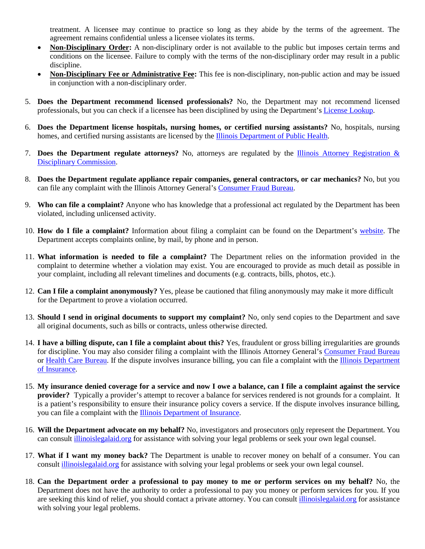treatment. A licensee may continue to practice so long as they abide by the terms of the agreement. The agreement remains confidential unless a licensee violates its terms.

- **Non-Disciplinary Order:** A non-disciplinary order is not available to the public but imposes certain terms and conditions on the licensee. Failure to comply with the terms of the non-disciplinary order may result in a public discipline.
- **Non-Disciplinary Fee or Administrative Fee:** This fee is non-disciplinary, non-public action and may be issued in conjunction with a non-disciplinary order.
- 5. **Does the Department recommend licensed professionals?** No, the Department may not recommend licensed professionals, but you can check if a licensee has been disciplined by using the Department's [License Lookup.](https://ilesonline.idfpr.illinois.gov/DPR/Lookup/LicenseLookup.aspx)
- 6. **Does the Department license hospitals, nursing homes, or certified nursing assistants?** No, hospitals, nursing homes, and certified nursing assistants are licensed by the [Illinois Department of Public Health.](http://www.dph.illinois.gov/)
- 7. **Does the Department regulate attorneys?** No, attorneys are regulated by the [Illinois Attorney Registration &](https://www.iardc.org/)  [Disciplinary Commission.](https://www.iardc.org/)
- 8. **Does the Department regulate appliance repair companies, general contractors, or car mechanics?** No, but you can file any complaint with the Illinois Attorney General's [Consumer Fraud Bureau.](http://www.illinoisattorneygeneral.gov/consumers/filecomplaint.html)
- 9. **Who can file a complaint?** Anyone who has knowledge that a professional act regulated by the Department has been violated, including unlicensed activity.
- 10. **How do I file a complaint?** Information about filing a complaint can be found on the Department's [website.](http://www.idfpr.com/admin/DPR/DPRcomplaint.asp) The Department accepts complaints online, by mail, by phone and in person.
- 11. **What information is needed to file a complaint?** The Department relies on the information provided in the complaint to determine whether a violation may exist. You are encouraged to provide as much detail as possible in your complaint, including all relevant timelines and documents (e.g. contracts, bills, photos, etc.).
- 12. **Can I file a complaint anonymously?** Yes, please be cautioned that filing anonymously may make it more difficult for the Department to prove a violation occurred.
- 13. **Should I send in original documents to support my complaint?** No, only send copies to the Department and save all original documents, such as bills or contracts, unless otherwise directed.
- 14. **I have a billing dispute, can I file a complaint about this?** Yes, fraudulent or gross billing irregularities are grounds for discipline. You may also consider filing a complaint with the Illinois Attorney General's [Consumer Fraud Bureau](http://www.illinoisattorneygeneral.gov/consumers/filecomplaint.html) or [Health Care Bureau.](http://www.illinoisattorneygeneral.gov/consumers/healthcare.html) If the dispute involves insurance billing, you can file a complaint with the [Illinois Department](https://mc.insurance.illinois.gov/messagecenter.nsf)  [of Insurance.](https://mc.insurance.illinois.gov/messagecenter.nsf)
- 15. **My insurance denied coverage for a service and now I owe a balance, can I file a complaint against the service provider?** Typically a provider's attempt to recover a balance for services rendered is not grounds for a complaint. It is a patient's responsibility to ensure their insurance policy covers a service. If the dispute involves insurance billing, you can file a complaint with the [Illinois Department of Insurance.](https://mc.insurance.illinois.gov/messagecenter.nsf)
- 16. **Will the Department advocate on my behalf?** No, investigators and prosecutors only represent the Department. You can consult [illinoislegalaid.org](http://www.illinoislegalaid.org/?_ga=1.230985503.1202481369.1461006471) for assistance with solving your legal problems or seek your own legal counsel.
- 17. **What if I want my money back?** The Department is unable to recover money on behalf of a consumer. You can consult [illinoislegalaid.org](http://www.illinoislegalaid.org/?_ga=1.230985503.1202481369.1461006471) for assistance with solving your legal problems or seek your own legal counsel.
- 18. **Can the Department order a professional to pay money to me or perform services on my behalf?** No, the Department does not have the authority to order a professional to pay you money or perform services for you. If you are seeking this kind of relief, you should contact a private attorney. You can consult [illinoislegalaid.org](http://www.illinoislegalaid.org/?_ga=1.230985503.1202481369.1461006471) for assistance with solving your legal problems.